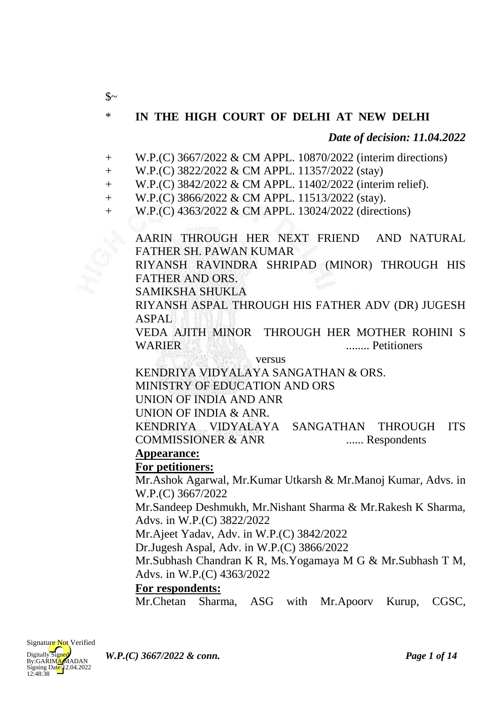## \* **IN THE HIGH COURT OF DELHI AT NEW DELHI**

*Date of decision: 11.04.2022*

+ W.P.(C) 3667/2022 & CM APPL. 10870/2022 (interim directions)

+ W.P.(C) 3822/2022 & CM APPL. 11357/2022 (stay)

+ W.P.(C) 3842/2022 & CM APPL. 11402/2022 (interim relief).

+ W.P.(C) 3866/2022 & CM APPL. 11513/2022 (stay).

+ W.P.(C) 4363/2022 & CM APPL. 13024/2022 (directions)

AARIN THROUGH HER NEXT FRIEND AND NATURAL FATHER SH. PAWAN KUMAR

RIYANSH RAVINDRA SHRIPAD (MINOR) THROUGH HIS FATHER AND ORS.

SAMIKSHA SHUKLA

 $\mathcal{S}$ ~

RIYANSH ASPAL THROUGH HIS FATHER ADV (DR) JUGESH ASPAL

VEDA AJITH MINOR THROUGH HER MOTHER ROHINI S WARIER ......... Petitioners

versus

KENDRIYA VIDYALAYA SANGATHAN & ORS.

MINISTRY OF EDUCATION AND ORS

UNION OF INDIA AND ANR

UNION OF INDIA & ANR.

KENDRIYA VIDYALAYA SANGATHAN THROUGH ITS COMMISSIONER & ANR ...... Respondents

**Appearance:**

**For petitioners:**

Mr.Ashok Agarwal, Mr.Kumar Utkarsh & Mr.Manoj Kumar, Advs. in W.P.(C) 3667/2022

Mr.Sandeep Deshmukh, Mr.Nishant Sharma & Mr.Rakesh K Sharma, Advs. in W.P.(C) 3822/2022

Mr.Ajeet Yadav, Adv. in W.P.(C) 3842/2022

Dr.Jugesh Aspal, Adv. in W.P.(C) 3866/2022

Mr.Subhash Chandran K R, Ms.Yogamaya M G & Mr.Subhash T M, Advs. in W.P.(C) 4363/2022

## **For respondents:**

Mr.Chetan Sharma, ASG with Mr.Apoorv Kurup, CGSC,

*W.P.(C) 3667/2022 & conn. Page 1 of 14*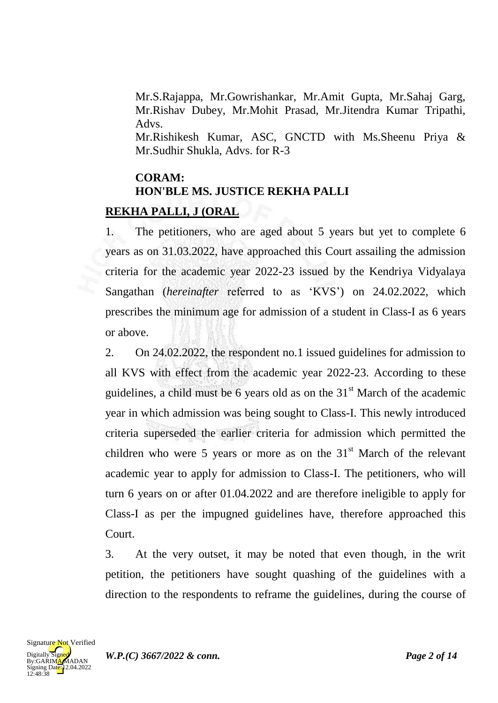Mr.S.Rajappa, Mr.Gowrishankar, Mr.Amit Gupta, Mr.Sahaj Garg, Mr.Rishav Dubey, Mr.Mohit Prasad, Mr.Jitendra Kumar Tripathi, Advs.

Mr.Rishikesh Kumar, ASC, GNCTD with Ms.Sheenu Priya & Mr.Sudhir Shukla, Advs. for R-3

## **CORAM: HON'BLE MS. JUSTICE REKHA PALLI**

## **REKHA PALLI, J (ORAL**

1. The petitioners, who are aged about 5 years but yet to complete 6 years as on 31.03.2022, have approached this Court assailing the admission criteria for the academic year 2022-23 issued by the Kendriya Vidyalaya Sangathan (*hereinafter* referred to as 'KVS') on 24.02.2022, which prescribes the minimum age for admission of a student in Class-I as 6 years or above.

2. On 24.02.2022, the respondent no.1 issued guidelines for admission to all KVS with effect from the academic year 2022-23. According to these guidelines, a child must be 6 years old as on the  $31<sup>st</sup>$  March of the academic year in which admission was being sought to Class-I. This newly introduced criteria superseded the earlier criteria for admission which permitted the children who were 5 years or more as on the  $31<sup>st</sup>$  March of the relevant academic year to apply for admission to Class-I. The petitioners, who will turn 6 years on or after 01.04.2022 and are therefore ineligible to apply for Class-I as per the impugned guidelines have, therefore approached this Court.

3. At the very outset, it may be noted that even though, in the writ petition, the petitioners have sought quashing of the guidelines with a direction to the respondents to reframe the guidelines, during the course of

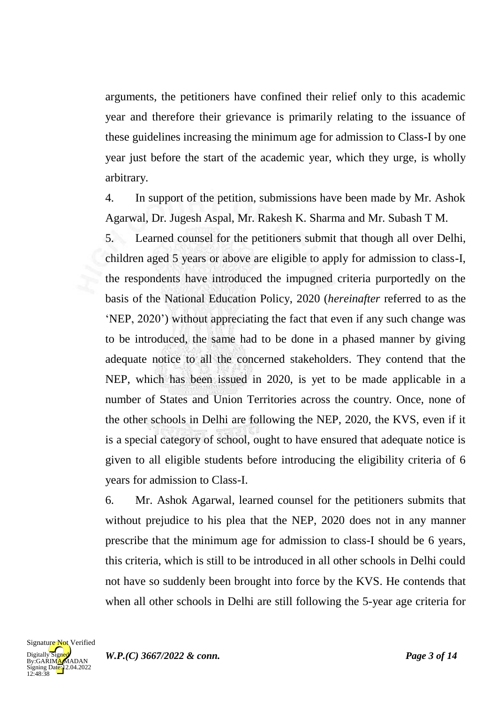arguments, the petitioners have confined their relief only to this academic year and therefore their grievance is primarily relating to the issuance of these guidelines increasing the minimum age for admission to Class-I by one year just before the start of the academic year, which they urge, is wholly arbitrary.

4. In support of the petition, submissions have been made by Mr. Ashok Agarwal, Dr. Jugesh Aspal, Mr. Rakesh K. Sharma and Mr. Subash T M.

5. Learned counsel for the petitioners submit that though all over Delhi, children aged 5 years or above are eligible to apply for admission to class-I, the respondents have introduced the impugned criteria purportedly on the basis of the National Education Policy, 2020 (*hereinafter* referred to as the 'NEP, 2020') without appreciating the fact that even if any such change was to be introduced, the same had to be done in a phased manner by giving adequate notice to all the concerned stakeholders. They contend that the NEP, which has been issued in 2020, is yet to be made applicable in a number of States and Union Territories across the country. Once, none of the other schools in Delhi are following the NEP, 2020, the KVS, even if it is a special category of school, ought to have ensured that adequate notice is given to all eligible students before introducing the eligibility criteria of 6 years for admission to Class-I.

6. Mr. Ashok Agarwal, learned counsel for the petitioners submits that without prejudice to his plea that the NEP, 2020 does not in any manner prescribe that the minimum age for admission to class-I should be 6 years, this criteria, which is still to be introduced in all other schools in Delhi could not have so suddenly been brought into force by the KVS. He contends that when all other schools in Delhi are still following the 5-year age criteria for

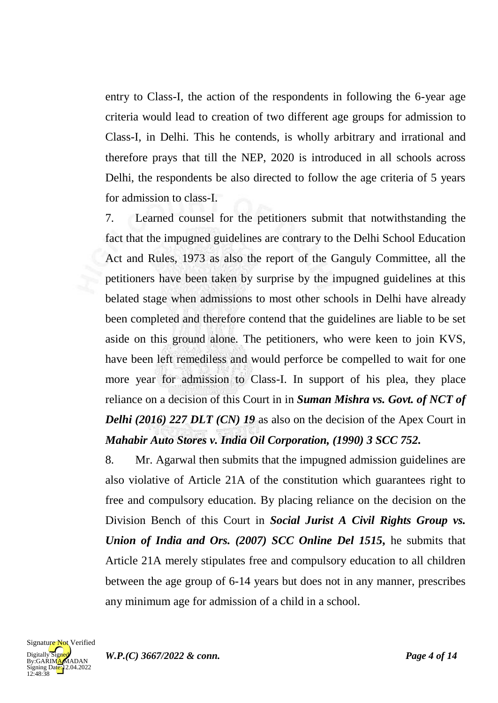entry to Class-I, the action of the respondents in following the 6-year age criteria would lead to creation of two different age groups for admission to Class-I, in Delhi. This he contends, is wholly arbitrary and irrational and therefore prays that till the NEP, 2020 is introduced in all schools across Delhi, the respondents be also directed to follow the age criteria of 5 years for admission to class-I.

7. Learned counsel for the petitioners submit that notwithstanding the fact that the impugned guidelines are contrary to the Delhi School Education Act and Rules, 1973 as also the report of the Ganguly Committee, all the petitioners have been taken by surprise by the impugned guidelines at this belated stage when admissions to most other schools in Delhi have already been completed and therefore contend that the guidelines are liable to be set aside on this ground alone. The petitioners, who were keen to join KVS, have been left remediless and would perforce be compelled to wait for one more year for admission to Class-I. In support of his plea, they place reliance on a decision of this Court in in *Suman Mishra vs. Govt. of NCT of Delhi (2016) 227 DLT (CN) 19* as also on the decision of the Apex Court in *Mahabir Auto Stores v. India Oil Corporation, (1990) 3 SCC 752.*

8. Mr. Agarwal then submits that the impugned admission guidelines are also violative of Article 21A of the constitution which guarantees right to free and compulsory education. By placing reliance on the decision on the Division Bench of this Court in *Social Jurist A Civil Rights Group vs. Union of India and Ors. (2007) SCC Online Del 1515,* he submits that Article 21A merely stipulates free and compulsory education to all children between the age group of 6-14 years but does not in any manner, prescribes any minimum age for admission of a child in a school.

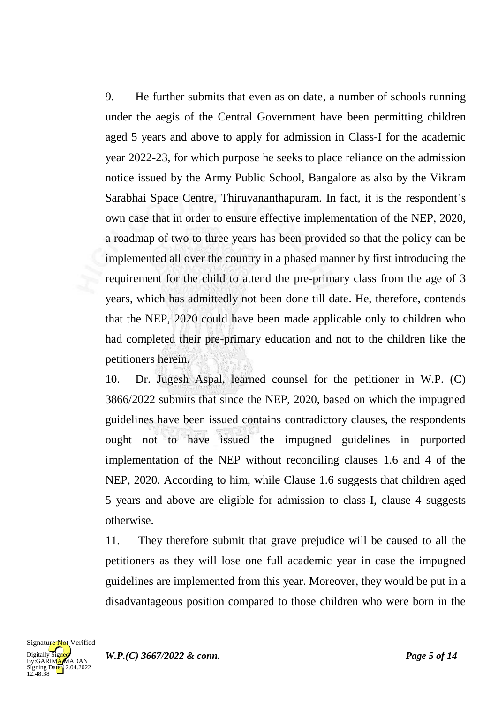9. He further submits that even as on date, a number of schools running under the aegis of the Central Government have been permitting children aged 5 years and above to apply for admission in Class-I for the academic year 2022-23, for which purpose he seeks to place reliance on the admission notice issued by the Army Public School, Bangalore as also by the Vikram Sarabhai Space Centre, Thiruvananthapuram. In fact, it is the respondent's own case that in order to ensure effective implementation of the NEP, 2020, a roadmap of two to three years has been provided so that the policy can be implemented all over the country in a phased manner by first introducing the requirement for the child to attend the pre-primary class from the age of 3 years, which has admittedly not been done till date. He, therefore, contends that the NEP, 2020 could have been made applicable only to children who had completed their pre-primary education and not to the children like the petitioners herein.

10. Dr. Jugesh Aspal, learned counsel for the petitioner in W.P. (C) 3866/2022 submits that since the NEP, 2020, based on which the impugned guidelines have been issued contains contradictory clauses, the respondents ought not to have issued the impugned guidelines in purported implementation of the NEP without reconciling clauses 1.6 and 4 of the NEP, 2020. According to him, while Clause 1.6 suggests that children aged 5 years and above are eligible for admission to class-I, clause 4 suggests otherwise.

11. They therefore submit that grave prejudice will be caused to all the petitioners as they will lose one full academic year in case the impugned guidelines are implemented from this year. Moreover, they would be put in a disadvantageous position compared to those children who were born in the

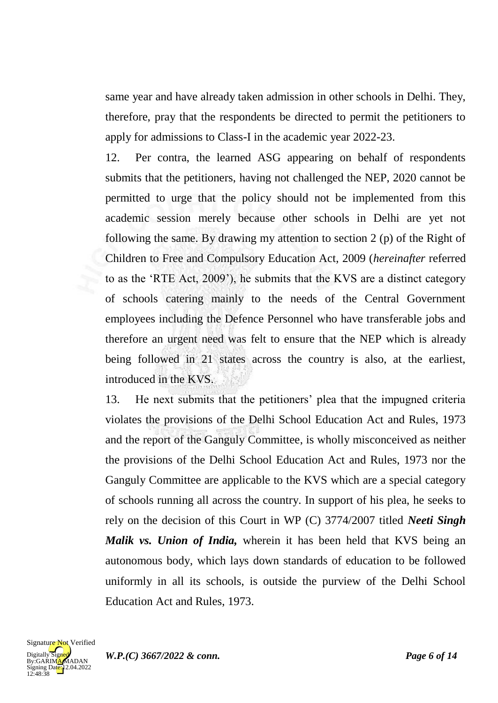same year and have already taken admission in other schools in Delhi. They, therefore, pray that the respondents be directed to permit the petitioners to apply for admissions to Class-I in the academic year 2022-23.

12. Per contra, the learned ASG appearing on behalf of respondents submits that the petitioners, having not challenged the NEP, 2020 cannot be permitted to urge that the policy should not be implemented from this academic session merely because other schools in Delhi are yet not following the same. By drawing my attention to section 2 (p) of the Right of Children to Free and Compulsory Education Act, 2009 (*hereinafter* referred to as the 'RTE Act, 2009'), he submits that the KVS are a distinct category of schools catering mainly to the needs of the Central Government employees including the Defence Personnel who have transferable jobs and therefore an urgent need was felt to ensure that the NEP which is already being followed in 21 states across the country is also, at the earliest, introduced in the KVS.

13. He next submits that the petitioners' plea that the impugned criteria violates the provisions of the Delhi School Education Act and Rules, 1973 and the report of the Ganguly Committee, is wholly misconceived as neither the provisions of the Delhi School Education Act and Rules, 1973 nor the Ganguly Committee are applicable to the KVS which are a special category of schools running all across the country. In support of his plea, he seeks to rely on the decision of this Court in WP (C) 3774/2007 titled *Neeti Singh Malik vs. Union of India,* wherein it has been held that KVS being an autonomous body, which lays down standards of education to be followed uniformly in all its schools, is outside the purview of the Delhi School Education Act and Rules, 1973.

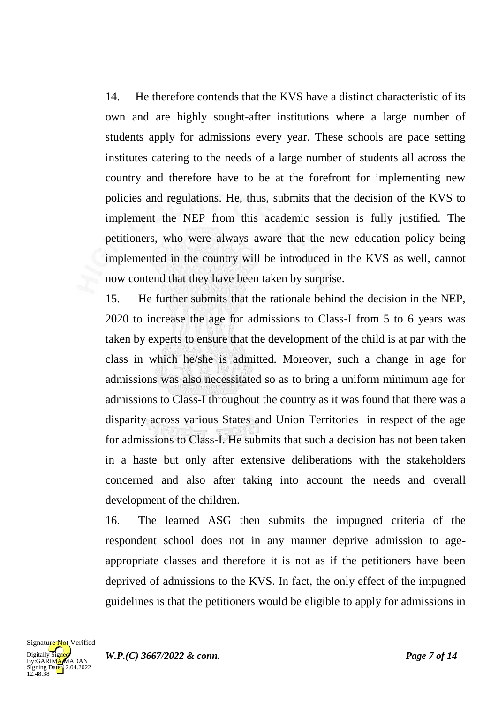14. He therefore contends that the KVS have a distinct characteristic of its own and are highly sought-after institutions where a large number of students apply for admissions every year. These schools are pace setting institutes catering to the needs of a large number of students all across the country and therefore have to be at the forefront for implementing new policies and regulations. He, thus, submits that the decision of the KVS to implement the NEP from this academic session is fully justified. The petitioners, who were always aware that the new education policy being implemented in the country will be introduced in the KVS as well, cannot now contend that they have been taken by surprise.

15. He further submits that the rationale behind the decision in the NEP, 2020 to increase the age for admissions to Class-I from 5 to 6 years was taken by experts to ensure that the development of the child is at par with the class in which he/she is admitted. Moreover, such a change in age for admissions was also necessitated so as to bring a uniform minimum age for admissions to Class-I throughout the country as it was found that there was a disparity across various States and Union Territories in respect of the age for admissions to Class-I. He submits that such a decision has not been taken in a haste but only after extensive deliberations with the stakeholders concerned and also after taking into account the needs and overall development of the children.

16. The learned ASG then submits the impugned criteria of the respondent school does not in any manner deprive admission to ageappropriate classes and therefore it is not as if the petitioners have been deprived of admissions to the KVS. In fact, the only effect of the impugned guidelines is that the petitioners would be eligible to apply for admissions in

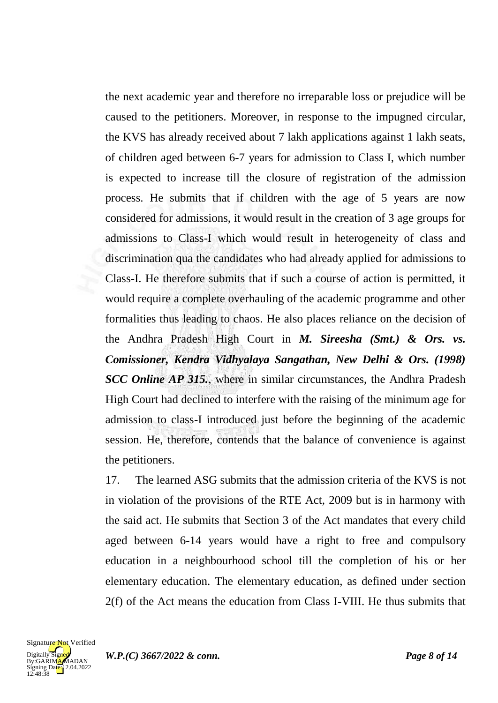the next academic year and therefore no irreparable loss or prejudice will be caused to the petitioners. Moreover, in response to the impugned circular, the KVS has already received about 7 lakh applications against 1 lakh seats, of children aged between 6-7 years for admission to Class I, which number is expected to increase till the closure of registration of the admission process. He submits that if children with the age of 5 years are now considered for admissions, it would result in the creation of 3 age groups for admissions to Class-I which would result in heterogeneity of class and discrimination qua the candidates who had already applied for admissions to Class-I. He therefore submits that if such a course of action is permitted, it would require a complete overhauling of the academic programme and other formalities thus leading to chaos. He also places reliance on the decision of the Andhra Pradesh High Court in *M. Sireesha (Smt.) & Ors. vs. Comissioner, Kendra Vidhyalaya Sangathan, New Delhi & Ors. (1998) SCC Online AP 315.*, where in similar circumstances, the Andhra Pradesh High Court had declined to interfere with the raising of the minimum age for admission to class-I introduced just before the beginning of the academic session. He, therefore, contends that the balance of convenience is against the petitioners.

17. The learned ASG submits that the admission criteria of the KVS is not in violation of the provisions of the RTE Act, 2009 but is in harmony with the said act. He submits that Section 3 of the Act mandates that every child aged between 6-14 years would have a right to free and compulsory education in a neighbourhood school till the completion of his or her elementary education. The elementary education, as defined under section 2(f) of the Act means the education from Class I-VIII. He thus submits that

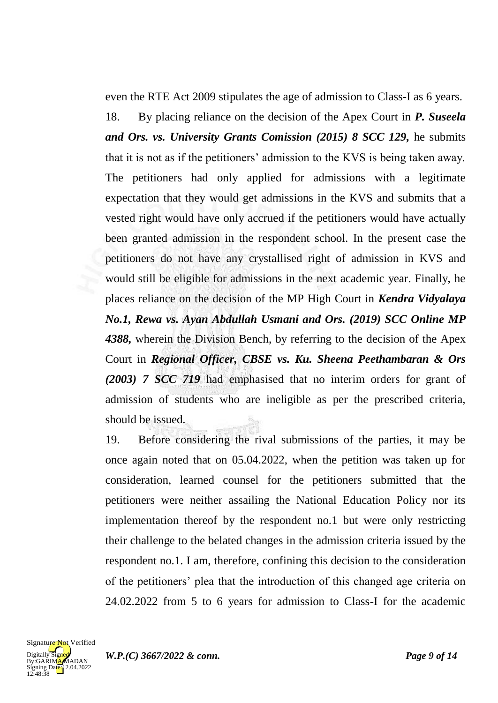even the RTE Act 2009 stipulates the age of admission to Class-I as 6 years.

18. By placing reliance on the decision of the Apex Court in *P. Suseela and Ors. vs. University Grants Comission (2015) 8 SCC 129,* he submits that it is not as if the petitioners' admission to the KVS is being taken away. The petitioners had only applied for admissions with a legitimate expectation that they would get admissions in the KVS and submits that a vested right would have only accrued if the petitioners would have actually been granted admission in the respondent school. In the present case the petitioners do not have any crystallised right of admission in KVS and would still be eligible for admissions in the next academic year. Finally, he places reliance on the decision of the MP High Court in *Kendra Vidyalaya No.1, Rewa vs. Ayan Abdullah Usmani and Ors. (2019) SCC Online MP 4388,* wherein the Division Bench, by referring to the decision of the Apex Court in *Regional Officer, CBSE vs. Ku. Sheena Peethambaran & Ors (2003) 7 SCC 719* had emphasised that no interim orders for grant of admission of students who are ineligible as per the prescribed criteria, should be issued.

19. Before considering the rival submissions of the parties, it may be once again noted that on 05.04.2022, when the petition was taken up for consideration, learned counsel for the petitioners submitted that the petitioners were neither assailing the National Education Policy nor its implementation thereof by the respondent no.1 but were only restricting their challenge to the belated changes in the admission criteria issued by the respondent no.1. I am, therefore, confining this decision to the consideration of the petitioners' plea that the introduction of this changed age criteria on 24.02.2022 from 5 to 6 years for admission to Class-I for the academic

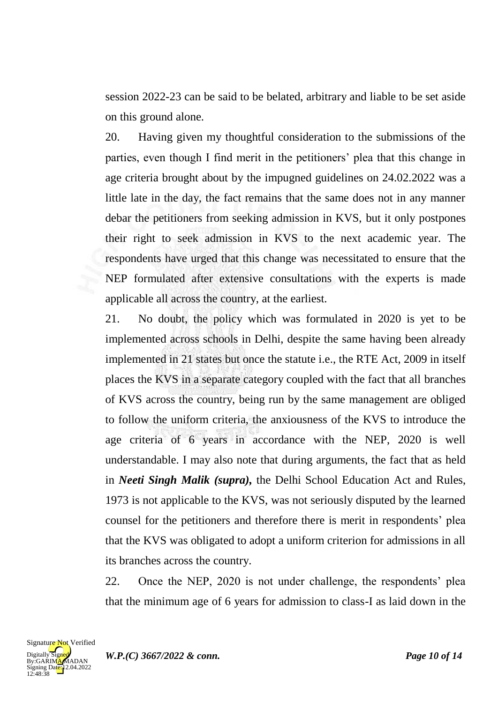session 2022-23 can be said to be belated, arbitrary and liable to be set aside on this ground alone.

20. Having given my thoughtful consideration to the submissions of the parties, even though I find merit in the petitioners' plea that this change in age criteria brought about by the impugned guidelines on 24.02.2022 was a little late in the day, the fact remains that the same does not in any manner debar the petitioners from seeking admission in KVS, but it only postpones their right to seek admission in KVS to the next academic year. The respondents have urged that this change was necessitated to ensure that the NEP formulated after extensive consultations with the experts is made applicable all across the country, at the earliest.

21. No doubt, the policy which was formulated in 2020 is yet to be implemented across schools in Delhi, despite the same having been already implemented in 21 states but once the statute i.e., the RTE Act, 2009 in itself places the KVS in a separate category coupled with the fact that all branches of KVS across the country, being run by the same management are obliged to follow the uniform criteria, the anxiousness of the KVS to introduce the age criteria of 6 years in accordance with the NEP, 2020 is well understandable. I may also note that during arguments, the fact that as held in *Neeti Singh Malik (supra),* the Delhi School Education Act and Rules, 1973 is not applicable to the KVS, was not seriously disputed by the learned counsel for the petitioners and therefore there is merit in respondents' plea that the KVS was obligated to adopt a uniform criterion for admissions in all its branches across the country.

22. Once the NEP, 2020 is not under challenge, the respondents' plea that the minimum age of 6 years for admission to class-I as laid down in the

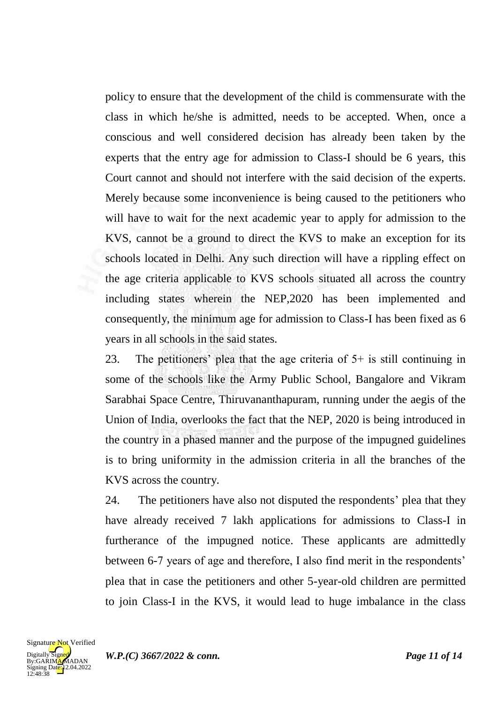policy to ensure that the development of the child is commensurate with the class in which he/she is admitted, needs to be accepted. When, once a conscious and well considered decision has already been taken by the experts that the entry age for admission to Class-I should be 6 years, this Court cannot and should not interfere with the said decision of the experts. Merely because some inconvenience is being caused to the petitioners who will have to wait for the next academic year to apply for admission to the KVS, cannot be a ground to direct the KVS to make an exception for its schools located in Delhi. Any such direction will have a rippling effect on the age criteria applicable to KVS schools situated all across the country including states wherein the NEP,2020 has been implemented and consequently, the minimum age for admission to Class-I has been fixed as 6 years in all schools in the said states.

23. The petitioners' plea that the age criteria of 5+ is still continuing in some of the schools like the Army Public School, Bangalore and Vikram Sarabhai Space Centre, Thiruvananthapuram, running under the aegis of the Union of India, overlooks the fact that the NEP, 2020 is being introduced in the country in a phased manner and the purpose of the impugned guidelines is to bring uniformity in the admission criteria in all the branches of the KVS across the country.

24. The petitioners have also not disputed the respondents' plea that they have already received 7 lakh applications for admissions to Class-I in furtherance of the impugned notice. These applicants are admittedly between 6-7 years of age and therefore, I also find merit in the respondents' plea that in case the petitioners and other 5-year-old children are permitted to join Class-I in the KVS, it would lead to huge imbalance in the class

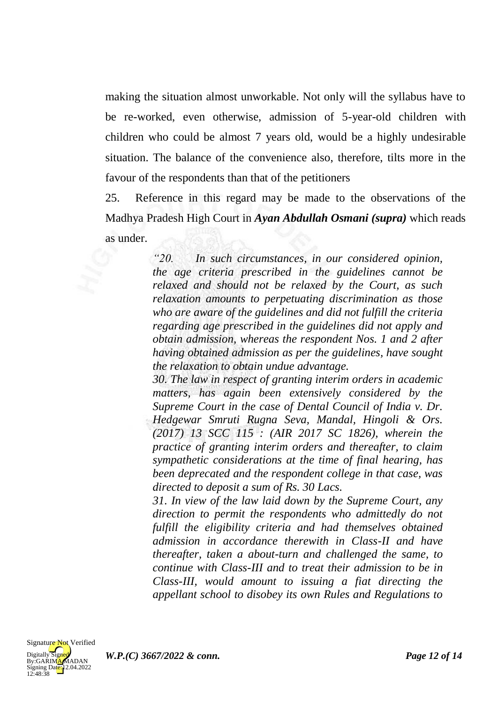making the situation almost unworkable. Not only will the syllabus have to be re-worked, even otherwise, admission of 5-year-old children with children who could be almost 7 years old, would be a highly undesirable situation. The balance of the convenience also, therefore, tilts more in the favour of the respondents than that of the petitioners

25. Reference in this regard may be made to the observations of the Madhya Pradesh High Court in *Ayan Abdullah Osmani (supra)* which reads as under.

> *"20. In such circumstances, in our considered opinion, the age criteria prescribed in the guidelines cannot be relaxed and should not be relaxed by the Court, as such relaxation amounts to perpetuating discrimination as those who are aware of the guidelines and did not fulfill the criteria regarding age prescribed in the guidelines did not apply and obtain admission, whereas the respondent Nos. 1 and 2 after having obtained admission as per the guidelines, have sought the relaxation to obtain undue advantage.*

> *30. The law in respect of granting interim orders in academic matters, has again been extensively considered by the Supreme Court in the case of Dental Council of India v. Dr. Hedgewar Smruti Rugna Seva, Mandal, Hingoli & Ors. (2017) 13 SCC 115 : (AIR 2017 SC 1826), wherein the practice of granting interim orders and thereafter, to claim sympathetic considerations at the time of final hearing, has been deprecated and the respondent college in that case, was directed to deposit a sum of Rs. 30 Lacs.*

> *31. In view of the law laid down by the Supreme Court, any direction to permit the respondents who admittedly do not fulfill the eligibility criteria and had themselves obtained admission in accordance therewith in Class-II and have thereafter, taken a about-turn and challenged the same, to continue with Class-III and to treat their admission to be in Class-III, would amount to issuing a fiat directing the appellant school to disobey its own Rules and Regulations to*



*W.P.(C) 3667/2022 & conn. Page 12 of 14*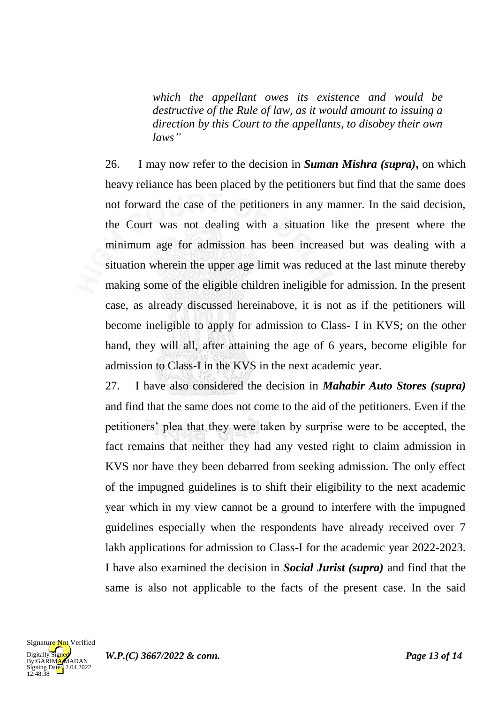*which the appellant owes its existence and would be destructive of the Rule of law, as it would amount to issuing a direction by this Court to the appellants, to disobey their own laws"*

26. I may now refer to the decision in *Suman Mishra (supra)***,** on which heavy reliance has been placed by the petitioners but find that the same does not forward the case of the petitioners in any manner. In the said decision, the Court was not dealing with a situation like the present where the minimum age for admission has been increased but was dealing with a situation wherein the upper age limit was reduced at the last minute thereby making some of the eligible children ineligible for admission. In the present case, as already discussed hereinabove, it is not as if the petitioners will become ineligible to apply for admission to Class- I in KVS; on the other hand, they will all, after attaining the age of 6 years, become eligible for admission to Class-I in the KVS in the next academic year.

27. I have also considered the decision in *Mahabir Auto Stores (supra)* and find that the same does not come to the aid of the petitioners. Even if the petitioners' plea that they were taken by surprise were to be accepted, the fact remains that neither they had any vested right to claim admission in KVS nor have they been debarred from seeking admission. The only effect of the impugned guidelines is to shift their eligibility to the next academic year which in my view cannot be a ground to interfere with the impugned guidelines especially when the respondents have already received over 7 lakh applications for admission to Class-I for the academic year 2022-2023. I have also examined the decision in *Social Jurist (supra)* and find that the same is also not applicable to the facts of the present case. In the said